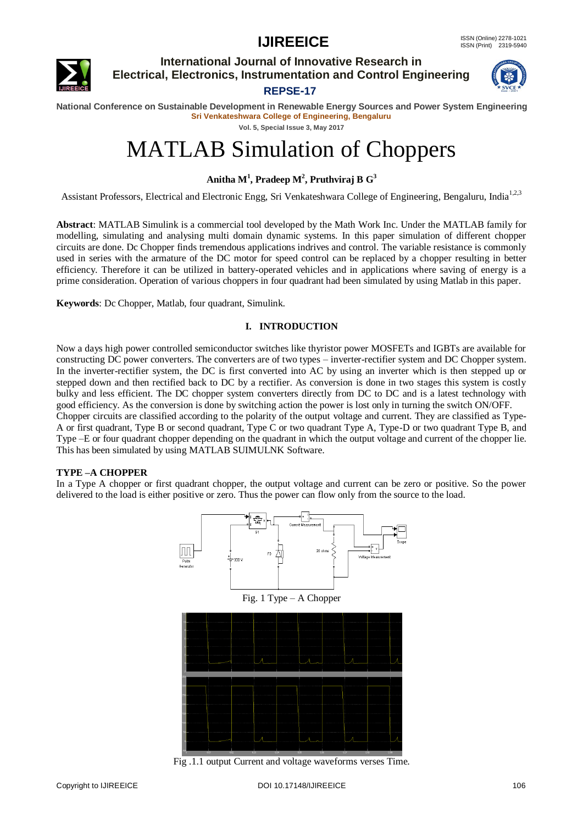

**International Journal of Innovative Research in Electrical, Electronics, Instrumentation and Control Engineering REPSE-17**



**National Conference on Sustainable Development in Renewable Energy Sources and Power System Engineering Sri Venkateshwara College of Engineering, Bengaluru**

**Vol. 5, Special Issue 3, May 2017**

# MATLAB Simulation of Choppers

**Anitha M<sup>1</sup> , Pradeep M<sup>2</sup> , Pruthviraj B G<sup>3</sup>**

Assistant Professors, Electrical and Electronic Engg, Sri Venkateshwara College of Engineering, Bengaluru, India<sup>1,2,3</sup>

**Abstract**: MATLAB Simulink is a commercial tool developed by the Math Work Inc. Under the MATLAB family for modelling, simulating and analysing multi domain dynamic systems. In this paper simulation of different chopper circuits are done. Dc Chopper finds tremendous applications indrives and control. The variable resistance is commonly used in series with the armature of the DC motor for speed control can be replaced by a chopper resulting in better efficiency. Therefore it can be utilized in battery-operated vehicles and in applications where saving of energy is a prime consideration. Operation of various choppers in four quadrant had been simulated by using Matlab in this paper.

**Keywords**: Dc Chopper, Matlab, four quadrant, Simulink.

## **I. INTRODUCTION**

Now a days high power controlled semiconductor switches like thyristor power MOSFETs and IGBTs are available for constructing DC power converters. The converters are of two types – inverter-rectifier system and DC Chopper system. In the inverter-rectifier system, the DC is first converted into AC by using an inverter which is then stepped up or stepped down and then rectified back to DC by a rectifier. As conversion is done in two stages this system is costly bulky and less efficient. The DC chopper system converters directly from DC to DC and is a latest technology with good efficiency. As the conversion is done by switching action the power is lost only in turning the switch ON/OFF. Chopper circuits are classified according to the polarity of the output voltage and current. They are classified as Type-A or first quadrant, Type B or second quadrant, Type C or two quadrant Type A, Type-D or two quadrant Type B, and Type –E or four quadrant chopper depending on the quadrant in which the output voltage and current of the chopper lie. This has been simulated by using MATLAB SUIMULNK Software.

## **TYPE –A CHOPPER**

In a Type A chopper or first quadrant chopper, the output voltage and current can be zero or positive. So the power delivered to the load is either positive or zero. Thus the power can flow only from the source to the load.



Fig .1.1 output Current and voltage waveforms verses Time.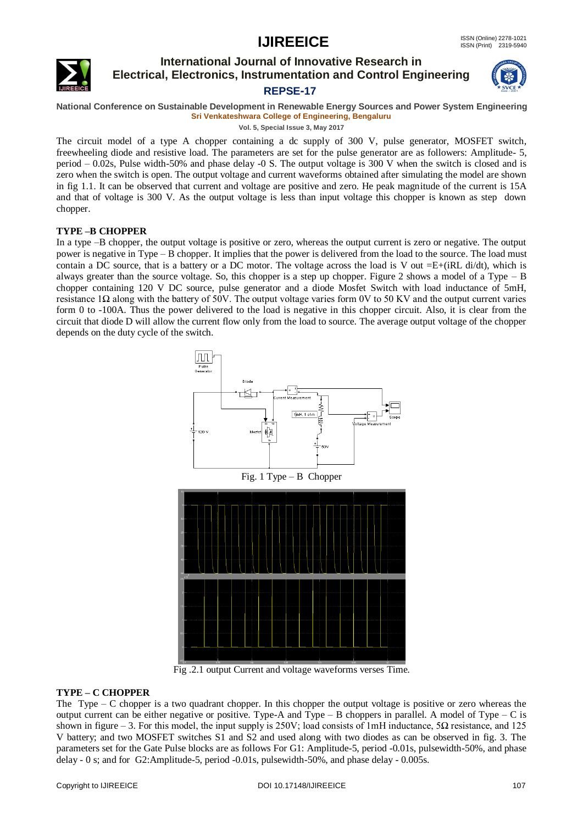

## **International Journal of Innovative Research in Electrical, Electronics, Instrumentation and Control Engineering REPSE-17**



#### **National Conference on Sustainable Development in Renewable Energy Sources and Power System Engineering Sri Venkateshwara College of Engineering, Bengaluru**

**Vol. 5, Special Issue 3, May 2017**

The circuit model of a type A chopper containing a dc supply of 300 V, pulse generator, MOSFET switch, freewheeling diode and resistive load. The parameters are set for the pulse generator are as followers: Amplitude- 5, period – 0.02s, Pulse width-50% and phase delay -0 S. The output voltage is 300 V when the switch is closed and is zero when the switch is open. The output voltage and current waveforms obtained after simulating the model are shown in fig 1.1. It can be observed that current and voltage are positive and zero. He peak magnitude of the current is 15A and that of voltage is 300 V. As the output voltage is less than input voltage this chopper is known as step down chopper.

## **TYPE –B CHOPPER**

In a type –B chopper, the output voltage is positive or zero, whereas the output current is zero or negative. The output power is negative in Type – B chopper. It implies that the power is delivered from the load to the source. The load must contain a DC source, that is a battery or a DC motor. The voltage across the load is V out  $=E+(iRL \text{ di/dt})$ , which is always greater than the source voltage. So, this chopper is a step up chopper. Figure 2 shows a model of a Type – B chopper containing 120 V DC source, pulse generator and a diode Mosfet Switch with load inductance of 5mH, resistance 1Ω along with the battery of 50V. The output voltage varies form 0V to 50 KV and the output current varies form 0 to -100A. Thus the power delivered to the load is negative in this chopper circuit. Also, it is clear from the circuit that diode D will allow the current flow only from the load to source. The average output voltage of the chopper depends on the duty cycle of the switch.



Fig .2.1 output Current and voltage waveforms verses Time.

## **TYPE – C CHOPPER**

The Type – C chopper is a two quadrant chopper. In this chopper the output voltage is positive or zero whereas the output current can be either negative or positive. Type-A and Type – B choppers in parallel. A model of Type – C is shown in figure – 3. For this model, the input supply is 250V; load consists of 1mH inductance,  $5\Omega$  resistance, and 125 V battery; and two MOSFET switches S1 and S2 and used along with two diodes as can be observed in fig. 3. The parameters set for the Gate Pulse blocks are as follows For G1: Amplitude-5, period -0.01s, pulsewidth-50%, and phase delay - 0 s; and for G2:Amplitude-5, period -0.01s, pulsewidth-50%, and phase delay - 0.005s.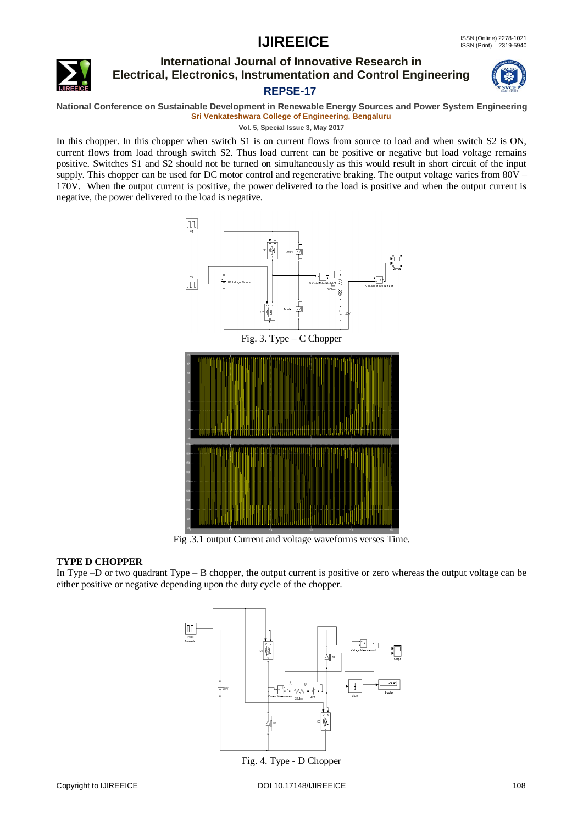

## **International Journal of Innovative Research in Electrical, Electronics, Instrumentation and Control Engineering REPSE-17**



**National Conference on Sustainable Development in Renewable Energy Sources and Power System Engineering Sri Venkateshwara College of Engineering, Bengaluru**

**Vol. 5, Special Issue 3, May 2017**

In this chopper. In this chopper when switch S1 is on current flows from source to load and when switch S2 is ON, current flows from load through switch S2. Thus load current can be positive or negative but load voltage remains positive. Switches S1 and S2 should not be turned on simultaneously as this would result in short circuit of the input supply. This chopper can be used for DC motor control and regenerative braking. The output voltage varies from 80V – 170V. When the output current is positive, the power delivered to the load is positive and when the output current is negative, the power delivered to the load is negative.



Fig .3.1 output Current and voltage waveforms verses Time.

## **TYPE D CHOPPER**

In Type –D or two quadrant Type – B chopper, the output current is positive or zero whereas the output voltage can be either positive or negative depending upon the duty cycle of the chopper.



Fig. 4. Type - D Chopper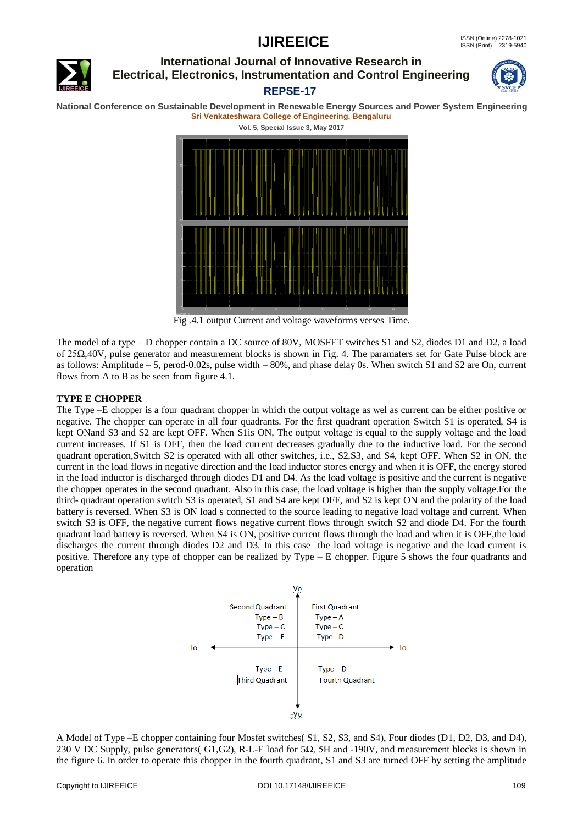

## **International Journal of Innovative Research in Electrical, Electronics, Instrumentation and Control Engineering REPSE-17**



**National Conference on Sustainable Development in Renewable Energy Sources and Power System Engineering Sri Venkateshwara College of Engineering, Bengaluru**



Fig .4.1 output Current and voltage waveforms verses Time.

The model of a type – D chopper contain a DC source of 80V, MOSFET switches S1 and S2, diodes D1 and D2, a load of 25Ω,40V, pulse generator and measurement blocks is shown in Fig. 4. The paramaters set for Gate Pulse block are as follows: Amplitude – 5, perod-0.02s, pulse width – 80%, and phase delay 0s. When switch S1 and S2 are On, current flows from A to B as be seen from figure 4.1.

## **TYPE E CHOPPER**

The Type –E chopper is a four quadrant chopper in which the output voltage as wel as current can be either positive or negative. The chopper can operate in all four quadrants. For the first quadrant operation Switch S1 is operated, S4 is kept ONand S3 and S2 are kept OFF. When S1is ON, The output voltage is equal to the supply voltage and the load current increases. If S1 is OFF, then the load current decreases gradually due to the inductive load. For the second quadrant operation,Switch S2 is operated with all other switches, i.e., S2,S3, and S4, kept OFF. When S2 in ON, the current in the load flows in negative direction and the load inductor stores energy and when it is OFF, the energy stored in the load inductor is discharged through diodes D1 and D4. As the load voltage is positive and the current is negative the chopper operates in the second quadrant. Also in this case, the load voltage is higher than the supply voltage.For the third- quadrant operation switch S3 is operated, S1 and S4 are kept OFF, and S2 is kept ON and the polarity of the load battery is reversed. When S3 is ON load s connected to the source leading to negative load voltage and current. When switch S3 is OFF, the negative current flows negative current flows through switch S2 and diode D4. For the fourth quadrant load battery is reversed. When S4 is ON, positive current flows through the load and when it is OFF,the load discharges the current through diodes D2 and D3. In this case the load voltage is negative and the load current is positive. Therefore any type of chopper can be realized by Type – E chopper. Figure 5 shows the four quadrants and operation



A Model of Type –E chopper containing four Mosfet switches( S1, S2, S3, and S4), Four diodes (D1, D2, D3, and D4), 230 V DC Supply, pulse generators( G1,G2), R-L-E load for 5Ω, 5H and -190V, and measurement blocks is shown in the figure 6. In order to operate this chopper in the fourth quadrant, S1 and S3 are turned OFF by setting the amplitude